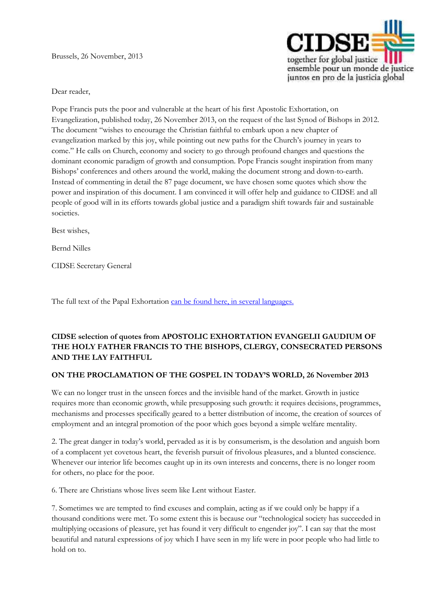

#### Dear reader,

Pope Francis puts the poor and vulnerable at the heart of his first Apostolic Exhortation, on Evangelization, published today, 26 November 2013, on the request of the last Synod of Bishops in 2012. The document "wishes to encourage the Christian faithful to embark upon a new chapter of evangelization marked by this joy, while pointing out new paths for the Church's journey in years to come." He calls on Church, economy and society to go through profound changes and questions the dominant economic paradigm of growth and consumption. Pope Francis sought inspiration from many Bishops' conferences and others around the world, making the document strong and down-to-earth. Instead of commenting in detail the 87 page document, we have chosen some quotes which show the power and inspiration of this document. I am convinced it will offer help and guidance to CIDSE and all people of good will in its efforts towards global justice and a paradigm shift towards fair and sustainable societies.

Best wishes,

Bernd Nilles

CIDSE Secretary General

The full text of the Papal Exhortation [can be found here, in several languages.](http://www.vatican.va/holy_father/francesco/apost_exhortations/index_en.htm)

# **CIDSE selection of quotes from APOSTOLIC EXHORTATION EVANGELII GAUDIUM OF THE HOLY FATHER FRANCIS TO THE BISHOPS, CLERGY, CONSECRATED PERSONS AND THE LAY FAITHFUL**

#### **ON THE PROCLAMATION OF THE GOSPEL IN TODAY'S WORLD, 26 November 2013**

We can no longer trust in the unseen forces and the invisible hand of the market. Growth in justice requires more than economic growth, while presupposing such growth: it requires decisions, programmes, mechanisms and processes specifically geared to a better distribution of income, the creation of sources of employment and an integral promotion of the poor which goes beyond a simple welfare mentality.

2. The great danger in today's world, pervaded as it is by consumerism, is the desolation and anguish born of a complacent yet covetous heart, the feverish pursuit of frivolous pleasures, and a blunted conscience. Whenever our interior life becomes caught up in its own interests and concerns, there is no longer room for others, no place for the poor.

6. There are Christians whose lives seem like Lent without Easter.

7. Sometimes we are tempted to find excuses and complain, acting as if we could only be happy if a thousand conditions were met. To some extent this is because our "technological society has succeeded in multiplying occasions of pleasure, yet has found it very difficult to engender joy". I can say that the most beautiful and natural expressions of joy which I have seen in my life were in poor people who had little to hold on to.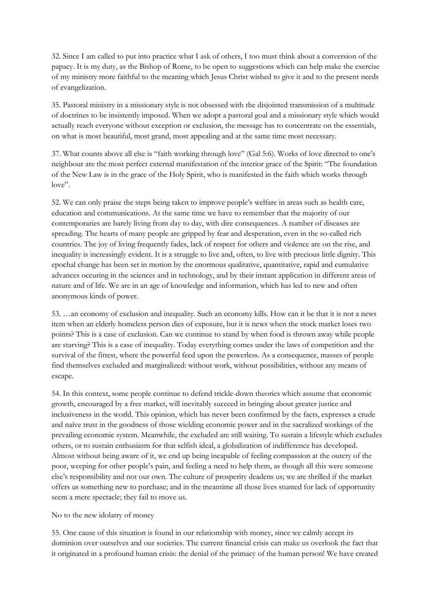32. Since I am called to put into practice what I ask of others, I too must think about a conversion of the papacy. It is my duty, as the Bishop of Rome, to be open to suggestions which can help make the exercise of my ministry more faithful to the meaning which Jesus Christ wished to give it and to the present needs of evangelization.

35. Pastoral ministry in a missionary style is not obsessed with the disjointed transmission of a multitude of doctrines to be insistently imposed. When we adopt a pastoral goal and a missionary style which would actually reach everyone without exception or exclusion, the message has to concentrate on the essentials, on what is most beautiful, most grand, most appealing and at the same time most necessary.

37. What counts above all else is "faith working through love" (Gal 5:6). Works of love directed to one's neighbour are the most perfect external manifestation of the interior grace of the Spirit: "The foundation of the New Law is in the grace of the Holy Spirit, who is manifested in the faith which works through love".

52. We can only praise the steps being taken to improve people's welfare in areas such as health care, education and communications. At the same time we have to remember that the majority of our contemporaries are barely living from day to day, with dire consequences. A number of diseases are spreading. The hearts of many people are gripped by fear and desperation, even in the so-called rich countries. The joy of living frequently fades, lack of respect for others and violence are on the rise, and inequality is increasingly evident. It is a struggle to live and, often, to live with precious little dignity. This epochal change has been set in motion by the enormous qualitative, quantitative, rapid and cumulative advances occuring in the sciences and in technology, and by their instant application in different areas of nature and of life. We are in an age of knowledge and information, which has led to new and often anonymous kinds of power.

53. …an economy of exclusion and inequality. Such an economy kills. How can it be that it is not a news item when an elderly homeless person dies of exposure, but it is news when the stock market loses two points? This is a case of exclusion. Can we continue to stand by when food is thrown away while people are starving? This is a case of inequality. Today everything comes under the laws of competition and the survival of the fittest, where the powerful feed upon the powerless. As a consequence, masses of people find themselves excluded and marginalized: without work, without possibilities, without any means of escape.

54. In this context, some people continue to defend trickle-down theories which assume that economic growth, encouraged by a free market, will inevitably succeed in bringing about greater justice and inclusiveness in the world. This opinion, which has never been confirmed by the facts, expresses a crude and naïve trust in the goodness of those wielding economic power and in the sacralized workings of the prevailing economic system. Meanwhile, the excluded are still waiting. To sustain a lifestyle which excludes others, or to sustain enthusiasm for that selfish ideal, a globalization of indifference has developed. Almost without being aware of it, we end up being incapable of feeling compassion at the outcry of the poor, weeping for other people's pain, and feeling a need to help them, as though all this were someone else's responsibility and not our own. The culture of prosperity deadens us; we are thrilled if the market offers us something new to purchase; and in the meantime all those lives stunted for lack of opportunity seem a mere spectacle; they fail to move us.

#### No to the new idolatry of money

55. One cause of this situation is found in our relationship with money, since we calmly accept its dominion over ourselves and our societies. The current financial crisis can make us overlook the fact that it originated in a profound human crisis: the denial of the primacy of the human person! We have created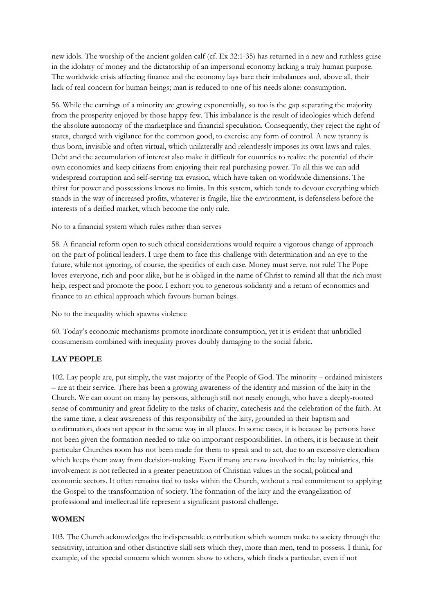new idols. The worship of the ancient golden calf (cf. Ex 32:1-35) has returned in a new and ruthless guise in the idolatry of money and the dictatorship of an impersonal economy lacking a truly human purpose. The worldwide crisis affecting finance and the economy lays bare their imbalances and, above all, their lack of real concern for human beings; man is reduced to one of his needs alone: consumption.

56. While the earnings of a minority are growing exponentially, so too is the gap separating the majority from the prosperity enjoyed by those happy few. This imbalance is the result of ideologies which defend the absolute autonomy of the marketplace and financial speculation. Consequently, they reject the right of states, charged with vigilance for the common good, to exercise any form of control. A new tyranny is thus born, invisible and often virtual, which unilaterally and relentlessly imposes its own laws and rules. Debt and the accumulation of interest also make it difficult for countries to realize the potential of their own economies and keep citizens from enjoying their real purchasing power. To all this we can add widespread corruption and self-serving tax evasion, which have taken on worldwide dimensions. The thirst for power and possessions knows no limits. In this system, which tends to devour everything which stands in the way of increased profits, whatever is fragile, like the environment, is defenseless before the interests of a deified market, which become the only rule.

No to a financial system which rules rather than serves

58. A financial reform open to such ethical considerations would require a vigorous change of approach on the part of political leaders. I urge them to face this challenge with determination and an eye to the future, while not ignoring, of course, the specifics of each case. Money must serve, not rule! The Pope loves everyone, rich and poor alike, but he is obliged in the name of Christ to remind all that the rich must help, respect and promote the poor. I exhort you to generous solidarity and a return of economics and finance to an ethical approach which favours human beings.

No to the inequality which spawns violence

60. Today's economic mechanisms promote inordinate consumption, yet it is evident that unbridled consumerism combined with inequality proves doubly damaging to the social fabric.

# **LAY PEOPLE**

102. Lay people are, put simply, the vast majority of the People of God. The minority – ordained ministers – are at their service. There has been a growing awareness of the identity and mission of the laity in the Church. We can count on many lay persons, although still not nearly enough, who have a deeply-rooted sense of community and great fidelity to the tasks of charity, catechesis and the celebration of the faith. At the same time, a clear awareness of this responsibility of the laity, grounded in their baptism and confirmation, does not appear in the same way in all places. In some cases, it is because lay persons have not been given the formation needed to take on important responsibilities. In others, it is because in their particular Churches room has not been made for them to speak and to act, due to an excessive clericalism which keeps them away from decision-making. Even if many are now involved in the lay ministries, this involvement is not reflected in a greater penetration of Christian values in the social, political and economic sectors. It often remains tied to tasks within the Church, without a real commitment to applying the Gospel to the transformation of society. The formation of the laity and the evangelization of professional and intellectual life represent a significant pastoral challenge.

### **WOMEN**

103. The Church acknowledges the indispensable contribution which women make to society through the sensitivity, intuition and other distinctive skill sets which they, more than men, tend to possess. I think, for example, of the special concern which women show to others, which finds a particular, even if not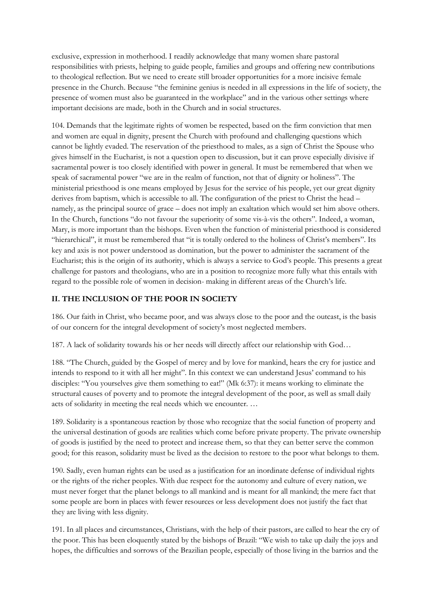exclusive, expression in motherhood. I readily acknowledge that many women share pastoral responsibilities with priests, helping to guide people, families and groups and offering new contributions to theological reflection. But we need to create still broader opportunities for a more incisive female presence in the Church. Because "the feminine genius is needed in all expressions in the life of society, the presence of women must also be guaranteed in the workplace" and in the various other settings where important decisions are made, both in the Church and in social structures.

104. Demands that the legitimate rights of women be respected, based on the firm conviction that men and women are equal in dignity, present the Church with profound and challenging questions which cannot be lightly evaded. The reservation of the priesthood to males, as a sign of Christ the Spouse who gives himself in the Eucharist, is not a question open to discussion, but it can prove especially divisive if sacramental power is too closely identified with power in general. It must be remembered that when we speak of sacramental power "we are in the realm of function, not that of dignity or holiness". The ministerial priesthood is one means employed by Jesus for the service of his people, yet our great dignity derives from baptism, which is accessible to all. The configuration of the priest to Christ the head – namely, as the principal source of grace – does not imply an exaltation which would set him above others. In the Church, functions "do not favour the superiority of some vis-à-vis the others". Indeed, a woman, Mary, is more important than the bishops. Even when the function of ministerial priesthood is considered "hierarchical", it must be remembered that "it is totally ordered to the holiness of Christ's members". Its key and axis is not power understood as domination, but the power to administer the sacrament of the Eucharist; this is the origin of its authority, which is always a service to God's people. This presents a great challenge for pastors and theologians, who are in a position to recognize more fully what this entails with regard to the possible role of women in decision- making in different areas of the Church's life.

### **II. THE INCLUSION OF THE POOR IN SOCIETY**

186. Our faith in Christ, who became poor, and was always close to the poor and the outcast, is the basis of our concern for the integral development of society's most neglected members.

187. A lack of solidarity towards his or her needs will directly affect our relationship with God…

188. "The Church, guided by the Gospel of mercy and by love for mankind, hears the cry for justice and intends to respond to it with all her might". In this context we can understand Jesus' command to his disciples: "You yourselves give them something to eat!" (Mk 6:37): it means working to eliminate the structural causes of poverty and to promote the integral development of the poor, as well as small daily acts of solidarity in meeting the real needs which we encounter. …

189. Solidarity is a spontaneous reaction by those who recognize that the social function of property and the universal destination of goods are realities which come before private property. The private ownership of goods is justified by the need to protect and increase them, so that they can better serve the common good; for this reason, solidarity must be lived as the decision to restore to the poor what belongs to them.

190. Sadly, even human rights can be used as a justification for an inordinate defense of individual rights or the rights of the richer peoples. With due respect for the autonomy and culture of every nation, we must never forget that the planet belongs to all mankind and is meant for all mankind; the mere fact that some people are born in places with fewer resources or less development does not justify the fact that they are living with less dignity.

191. In all places and circumstances, Christians, with the help of their pastors, are called to hear the cry of the poor. This has been eloquently stated by the bishops of Brazil: "We wish to take up daily the joys and hopes, the difficulties and sorrows of the Brazilian people, especially of those living in the barrios and the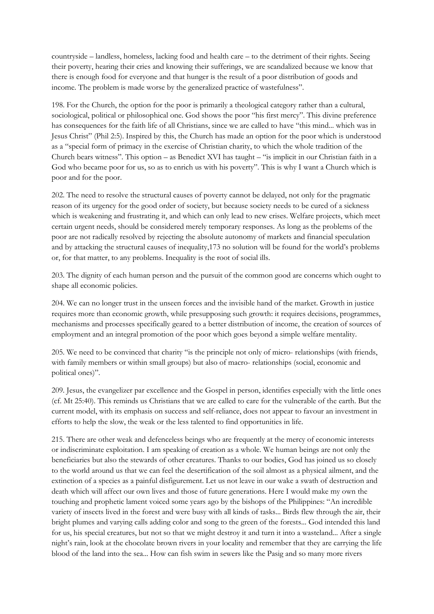countryside – landless, homeless, lacking food and health care – to the detriment of their rights. Seeing their poverty, hearing their cries and knowing their sufferings, we are scandalized because we know that there is enough food for everyone and that hunger is the result of a poor distribution of goods and income. The problem is made worse by the generalized practice of wastefulness".

198. For the Church, the option for the poor is primarily a theological category rather than a cultural, sociological, political or philosophical one. God shows the poor "his first mercy". This divine preference has consequences for the faith life of all Christians, since we are called to have "this mind... which was in Jesus Christ" (Phil 2:5). Inspired by this, the Church has made an option for the poor which is understood as a "special form of primacy in the exercise of Christian charity, to which the whole tradition of the Church bears witness". This option – as Benedict XVI has taught – "is implicit in our Christian faith in a God who became poor for us, so as to enrich us with his poverty". This is why I want a Church which is poor and for the poor.

202. The need to resolve the structural causes of poverty cannot be delayed, not only for the pragmatic reason of its urgency for the good order of society, but because society needs to be cured of a sickness which is weakening and frustrating it, and which can only lead to new crises. Welfare projects, which meet certain urgent needs, should be considered merely temporary responses. As long as the problems of the poor are not radically resolved by rejecting the absolute autonomy of markets and financial speculation and by attacking the structural causes of inequality,173 no solution will be found for the world's problems or, for that matter, to any problems. Inequality is the root of social ills.

203. The dignity of each human person and the pursuit of the common good are concerns which ought to shape all economic policies.

204. We can no longer trust in the unseen forces and the invisible hand of the market. Growth in justice requires more than economic growth, while presupposing such growth: it requires decisions, programmes, mechanisms and processes specifically geared to a better distribution of income, the creation of sources of employment and an integral promotion of the poor which goes beyond a simple welfare mentality.

205. We need to be convinced that charity "is the principle not only of micro- relationships (with friends, with family members or within small groups) but also of macro- relationships (social, economic and political ones)".

209. Jesus, the evangelizer par excellence and the Gospel in person, identifies especially with the little ones (cf. Mt 25:40). This reminds us Christians that we are called to care for the vulnerable of the earth. But the current model, with its emphasis on success and self-reliance, does not appear to favour an investment in efforts to help the slow, the weak or the less talented to find opportunities in life.

215. There are other weak and defenceless beings who are frequently at the mercy of economic interests or indiscriminate exploitation. I am speaking of creation as a whole. We human beings are not only the beneficiaries but also the stewards of other creatures. Thanks to our bodies, God has joined us so closely to the world around us that we can feel the desertification of the soil almost as a physical ailment, and the extinction of a species as a painful disfigurement. Let us not leave in our wake a swath of destruction and death which will affect our own lives and those of future generations. Here I would make my own the touching and prophetic lament voiced some years ago by the bishops of the Philippines: "An incredible variety of insects lived in the forest and were busy with all kinds of tasks... Birds flew through the air, their bright plumes and varying calls adding color and song to the green of the forests... God intended this land for us, his special creatures, but not so that we might destroy it and turn it into a wasteland... After a single night's rain, look at the chocolate brown rivers in your locality and remember that they are carrying the life blood of the land into the sea... How can fish swim in sewers like the Pasig and so many more rivers